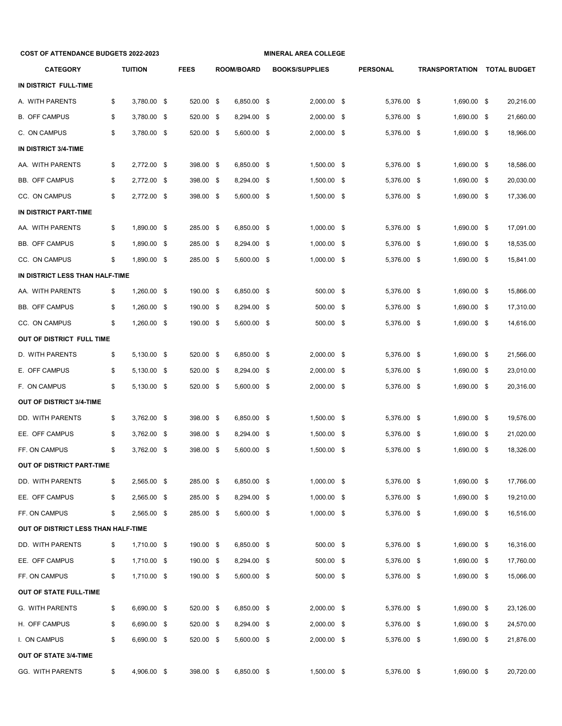| <b>COST OF ATTENDANCE BUDGETS 2022-2023</b> |    |                |     | <b>MINERAL AREA COLLEGE</b> |  |                   |  |                       |  |             |      |             |  |                             |
|---------------------------------------------|----|----------------|-----|-----------------------------|--|-------------------|--|-----------------------|--|-------------|------|-------------|--|-----------------------------|
| <b>CATEGORY</b>                             |    | <b>TUITION</b> |     | <b>FEES</b>                 |  | <b>ROOM/BOARD</b> |  | <b>BOOKS/SUPPLIES</b> |  | PERSONAL    |      |             |  | TRANSPORTATION TOTAL BUDGET |
| IN DISTRICT FULL-TIME                       |    |                |     |                             |  |                   |  |                       |  |             |      |             |  |                             |
| A. WITH PARENTS                             | \$ | 3,780.00 \$    |     | 520.00 \$                   |  | 6,850.00 \$       |  | 2,000.00 \$           |  | 5,376.00 \$ |      | 1,690.00 \$ |  | 20,216.00                   |
| <b>B. OFF CAMPUS</b>                        | \$ | 3,780.00 \$    |     | 520.00 \$                   |  | 8,294.00 \$       |  | 2,000.00 \$           |  | 5,376.00 \$ |      | 1,690.00 \$ |  | 21,660.00                   |
| C. ON CAMPUS                                | \$ | 3,780.00 \$    |     | 520.00 \$                   |  | 5,600.00 \$       |  | 2,000.00 \$           |  | 5,376.00 \$ |      | 1,690.00 \$ |  | 18,966.00                   |
| IN DISTRICT 3/4-TIME                        |    |                |     |                             |  |                   |  |                       |  |             |      |             |  |                             |
| AA. WITH PARENTS                            | \$ | 2,772.00 \$    |     | 398.00 \$                   |  | 6,850.00 \$       |  | 1,500.00 \$           |  | 5,376.00 \$ |      | 1,690.00 \$ |  | 18,586.00                   |
| <b>BB. OFF CAMPUS</b>                       | \$ | 2,772.00       | -\$ | 398.00 \$                   |  | 8,294.00 \$       |  | 1,500.00 \$           |  | 5,376.00 \$ |      | 1,690.00 \$ |  | 20,030.00                   |
| CC. ON CAMPUS                               | \$ | 2,772.00       | -\$ | 398.00 \$                   |  | 5,600.00 \$       |  | 1,500.00 \$           |  | 5,376.00 \$ |      | 1,690.00 \$ |  | 17,336.00                   |
| IN DISTRICT PART-TIME                       |    |                |     |                             |  |                   |  |                       |  |             |      |             |  |                             |
| AA. WITH PARENTS                            | \$ | 1,890.00 \$    |     | 285.00 \$                   |  | 6,850.00 \$       |  | 1,000.00 \$           |  | 5,376.00 \$ |      | 1,690.00 \$ |  | 17,091.00                   |
| <b>BB. OFF CAMPUS</b>                       | \$ | 1,890.00 \$    |     | 285.00 \$                   |  | 8,294.00 \$       |  | $1,000.00$ \$         |  | 5,376.00 \$ |      | 1,690.00 \$ |  | 18,535.00                   |
| CC. ON CAMPUS                               | \$ | 1,890.00       | -\$ | 285.00 \$                   |  | 5,600.00 \$       |  | $1,000.00$ \$         |  | 5,376.00 \$ |      | 1,690.00 \$ |  | 15,841.00                   |
| IN DISTRICT LESS THAN HALF-TIME             |    |                |     |                             |  |                   |  |                       |  |             |      |             |  |                             |
| AA. WITH PARENTS                            | \$ | 1,260.00 \$    |     | 190.00 \$                   |  | 6,850.00 \$       |  | 500.00 \$             |  | 5.376.00 \$ |      | 1,690.00 \$ |  | 15,866.00                   |
| <b>BB. OFF CAMPUS</b>                       | \$ | 1,260.00       | -\$ | 190.00 \$                   |  | 8,294.00 \$       |  | 500.00 \$             |  | 5,376.00 \$ |      | 1,690.00 \$ |  | 17,310.00                   |
| CC. ON CAMPUS                               | \$ | 1,260.00       | -\$ | 190.00 \$                   |  | 5,600.00 \$       |  | 500.00 \$             |  | 5,376.00 \$ |      | 1,690.00 \$ |  | 14,616.00                   |
| OUT OF DISTRICT FULL TIME                   |    |                |     |                             |  |                   |  |                       |  |             |      |             |  |                             |
| D. WITH PARENTS                             | \$ | 5,130.00 \$    |     | 520.00 \$                   |  | 6,850.00 \$       |  | 2,000.00 \$           |  | 5,376.00 \$ |      | 1,690.00 \$ |  | 21,566.00                   |
| E. OFF CAMPUS                               | \$ | 5,130.00 \$    |     | 520.00 \$                   |  | 8,294.00 \$       |  | 2,000.00 \$           |  | 5,376.00 \$ |      | 1,690.00 \$ |  | 23,010.00                   |
| F. ON CAMPUS                                | \$ | 5,130.00 \$    |     | 520.00 \$                   |  | 5,600.00 \$       |  | 2,000.00 \$           |  | 5,376.00 \$ |      | 1,690.00 \$ |  | 20,316.00                   |
| <b>OUT OF DISTRICT 3/4-TIME</b>             |    |                |     |                             |  |                   |  |                       |  |             |      |             |  |                             |
| DD. WITH PARENTS                            | \$ | 3,762.00 \$    |     | 398.00 \$                   |  | 6,850.00 \$       |  | 1,500.00 \$           |  | 5,376.00 \$ |      | 1,690.00 \$ |  | 19,576.00                   |
| EE. OFF CAMPUS                              | \$ | 3,762.00       | -\$ | 398.00 \$                   |  | 8,294.00 \$       |  | 1,500.00 \$           |  | 5,376.00    | - \$ | 1,690.00 \$ |  | 21,020.00                   |
| FF. ON CAMPUS                               | \$ | 3,762.00 \$    |     | 398.00 \$                   |  | 5,600.00 \$       |  | 1,500.00 \$           |  | 5,376.00 \$ |      | 1,690.00 \$ |  | 18,326.00                   |
| OUT OF DISTRICT PART-TIME                   |    |                |     |                             |  |                   |  |                       |  |             |      |             |  |                             |
| DD. WITH PARENTS                            | \$ | 2,565.00 \$    |     | 285.00 \$                   |  | 6,850.00 \$       |  | $1,000.00$ \$         |  | 5,376.00 \$ |      | 1,690.00 \$ |  | 17,766.00                   |
| EE. OFF CAMPUS                              | \$ | 2,565.00 \$    |     | 285.00 \$                   |  | 8,294.00 \$       |  | $1,000.00$ \$         |  | 5,376.00 \$ |      | 1,690.00 \$ |  | 19,210.00                   |
| FF. ON CAMPUS                               | \$ | 2,565.00 \$    |     | 285.00 \$                   |  | 5,600.00 \$       |  | 1,000.00 \$           |  | 5,376.00 \$ |      | 1,690.00 \$ |  | 16,516.00                   |
| OUT OF DISTRICT LESS THAN HALF-TIME         |    |                |     |                             |  |                   |  |                       |  |             |      |             |  |                             |
| DD. WITH PARENTS                            | \$ | 1,710.00 \$    |     | 190.00 \$                   |  | 6,850.00 \$       |  | 500.00 \$             |  | 5,376.00 \$ |      | 1,690.00 \$ |  | 16,316.00                   |
| EE. OFF CAMPUS                              | \$ | 1,710.00 \$    |     | 190.00 \$                   |  | 8,294.00 \$       |  | 500.00 \$             |  | 5,376.00 \$ |      | 1,690.00 \$ |  | 17,760.00                   |
| FF. ON CAMPUS                               | \$ | 1,710.00 \$    |     | 190.00 \$                   |  | 5,600.00 \$       |  | 500.00 \$             |  | 5,376.00 \$ |      | 1,690.00 \$ |  | 15,066.00                   |
| OUT OF STATE FULL-TIME                      |    |                |     |                             |  |                   |  |                       |  |             |      |             |  |                             |
| G. WITH PARENTS                             | \$ | 6,690.00 \$    |     | 520.00 \$                   |  | 6,850.00 \$       |  | 2,000.00 \$           |  | 5,376.00 \$ |      | 1,690.00 \$ |  | 23,126.00                   |
| H. OFF CAMPUS                               | \$ | 6,690.00 \$    |     | 520.00 \$                   |  | 8,294.00 \$       |  | 2,000.00 \$           |  | 5,376.00 \$ |      | 1,690.00 \$ |  | 24,570.00                   |
| I. ON CAMPUS                                | \$ | 6,690.00 \$    |     | 520.00 \$                   |  | 5,600.00 \$       |  | 2,000.00 \$           |  | 5,376.00 \$ |      | 1,690.00 \$ |  | 21,876.00                   |
| OUT OF STATE 3/4-TIME                       |    |                |     |                             |  |                   |  |                       |  |             |      |             |  |                             |
| <b>GG. WITH PARENTS</b>                     | \$ | 4,906.00 \$    |     | 398.00 \$                   |  | 6,850.00 \$       |  | 1,500.00 \$           |  | 5,376.00 \$ |      | 1,690.00 \$ |  | 20,720.00                   |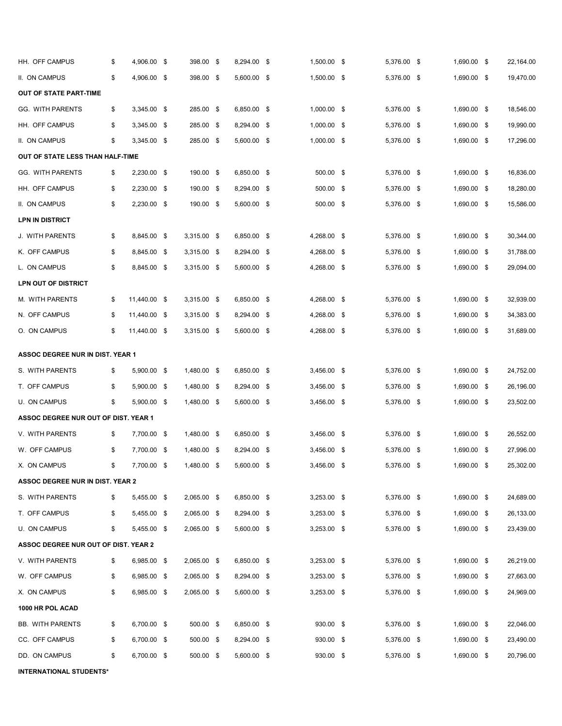| HH. OFF CAMPUS                          | \$ | 4,906.00 \$  |     | 398.00 \$   |  | 8,294.00 \$ |  | 1,500.00 \$   |  | 5,376.00 \$ |  | 1,690.00 \$ |  | 22,164.00 |
|-----------------------------------------|----|--------------|-----|-------------|--|-------------|--|---------------|--|-------------|--|-------------|--|-----------|
| II. ON CAMPUS                           | \$ | 4,906.00 \$  |     | 398.00 \$   |  | 5,600.00 \$ |  | 1,500.00 \$   |  | 5,376.00 \$ |  | 1,690.00 \$ |  | 19,470.00 |
| <b>OUT OF STATE PART-TIME</b>           |    |              |     |             |  |             |  |               |  |             |  |             |  |           |
| GG. WITH PARENTS                        | \$ | 3,345.00 \$  |     | 285.00 \$   |  | 6,850.00 \$ |  | 1,000.00 \$   |  | 5,376.00 \$ |  | 1,690.00 \$ |  | 18,546.00 |
| HH. OFF CAMPUS                          | \$ | 3,345.00 \$  |     | 285.00 \$   |  | 8,294.00 \$ |  | $1,000.00$ \$ |  | 5,376.00 \$ |  | 1,690.00 \$ |  | 19,990.00 |
| II. ON CAMPUS                           | \$ | 3,345.00 \$  |     | 285.00 \$   |  | 5,600.00 \$ |  | 1,000.00 \$   |  | 5,376.00 \$ |  | 1,690.00 \$ |  | 17,296.00 |
| OUT OF STATE LESS THAN HALF-TIME        |    |              |     |             |  |             |  |               |  |             |  |             |  |           |
| <b>GG. WITH PARENTS</b>                 | \$ | 2,230.00 \$  |     | 190.00 \$   |  | 6,850.00 \$ |  | 500.00 \$     |  | 5,376.00 \$ |  | 1,690.00 \$ |  | 16,836.00 |
| HH. OFF CAMPUS                          | \$ | 2,230.00 \$  |     | 190.00 \$   |  | 8,294.00 \$ |  | 500.00 \$     |  | 5,376.00 \$ |  | 1,690.00 \$ |  | 18,280.00 |
| II. ON CAMPUS                           | \$ | 2,230.00 \$  |     | 190.00 \$   |  | 5,600.00 \$ |  | 500.00 \$     |  | 5,376.00 \$ |  | 1,690.00 \$ |  | 15,586.00 |
| LPN IN DISTRICT                         |    |              |     |             |  |             |  |               |  |             |  |             |  |           |
| J. WITH PARENTS                         | \$ | 8,845.00 \$  |     | 3,315.00 \$ |  | 6,850.00 \$ |  | 4,268.00 \$   |  | 5,376.00 \$ |  | 1,690.00 \$ |  | 30,344.00 |
| K. OFF CAMPUS                           | \$ | 8,845.00     | -\$ | 3,315.00 \$ |  | 8,294.00 \$ |  | 4,268.00 \$   |  | 5,376.00 \$ |  | 1,690.00 \$ |  | 31,788.00 |
| L. ON CAMPUS                            | \$ | 8,845.00 \$  |     | 3,315.00 \$ |  | 5,600.00 \$ |  | 4,268.00 \$   |  | 5,376.00 \$ |  | 1,690.00 \$ |  | 29,094.00 |
| LPN OUT OF DISTRICT                     |    |              |     |             |  |             |  |               |  |             |  |             |  |           |
| M. WITH PARENTS                         | \$ | 11,440.00 \$ |     | 3,315.00 \$ |  | 6,850.00 \$ |  | 4,268.00 \$   |  | 5,376.00 \$ |  | 1,690.00 \$ |  | 32.939.00 |
| N. OFF CAMPUS                           | \$ | 11,440.00    | -\$ | 3,315.00 \$ |  | 8,294.00 \$ |  | 4,268.00 \$   |  | 5,376.00 \$ |  | 1,690.00 \$ |  | 34,383.00 |
| O. ON CAMPUS                            | \$ | 11,440.00 \$ |     | 3,315.00 \$ |  | 5,600.00 \$ |  | 4,268.00 \$   |  | 5,376.00 \$ |  | 1,690.00 \$ |  | 31,689.00 |
| <b>ASSOC DEGREE NUR IN DIST. YEAR 1</b> |    |              |     |             |  |             |  |               |  |             |  |             |  |           |
| S. WITH PARENTS                         | \$ | 5,900.00 \$  |     | 1,480.00 \$ |  | 6,850.00 \$ |  | 3,456.00 \$   |  | 5,376.00 \$ |  | 1,690.00 \$ |  | 24,752.00 |
| T. OFF CAMPUS                           | \$ | 5,900.00 \$  |     | 1,480.00 \$ |  | 8,294.00 \$ |  | 3,456.00 \$   |  | 5,376.00 \$ |  | 1,690.00 \$ |  | 26,196.00 |
| U. ON CAMPUS                            | \$ | 5,900.00 \$  |     | 1,480.00 \$ |  | 5,600.00 \$ |  | 3,456.00 \$   |  | 5,376.00 \$ |  | 1,690.00 \$ |  | 23,502.00 |
| ASSOC DEGREE NUR OUT OF DIST. YEAR 1    |    |              |     |             |  |             |  |               |  |             |  |             |  |           |
| V. WITH PARENTS                         | \$ | 7,700.00 \$  |     | 1,480.00 \$ |  | 6,850.00 \$ |  | $3,456.00$ \$ |  | 5,376.00 \$ |  | 1,690.00 \$ |  | 26,552.00 |
| W. OFF CAMPUS                           | \$ | 7,700.00     | -\$ | 1,480.00 \$ |  | 8,294.00 \$ |  | 3,456.00 \$   |  | 5,376.00 \$ |  | 1,690.00 \$ |  | 27,996.00 |
| X. ON CAMPUS                            | \$ | 7,700.00 \$  |     | 1,480.00 \$ |  | 5,600.00 \$ |  | 3,456.00 \$   |  | 5,376.00 \$ |  | 1,690.00 \$ |  | 25,302.00 |
| ASSOC DEGREE NUR IN DIST. YEAR 2        |    |              |     |             |  |             |  |               |  |             |  |             |  |           |
| S. WITH PARENTS                         | \$ | 5,455.00 \$  |     | 2,065.00 \$ |  | 6,850.00 \$ |  | 3,253.00 \$   |  | 5,376.00 \$ |  | 1,690.00 \$ |  | 24,689.00 |
| T. OFF CAMPUS                           | \$ | 5,455.00 \$  |     | 2,065.00 \$ |  | 8,294.00 \$ |  | $3,253.00$ \$ |  | 5,376.00 \$ |  | 1,690.00 \$ |  | 26,133.00 |
| U. ON CAMPUS                            | \$ | 5,455.00 \$  |     | 2,065.00 \$ |  | 5,600.00 \$ |  | 3,253.00 \$   |  | 5,376.00 \$ |  | 1,690.00 \$ |  | 23,439.00 |
| ASSOC DEGREE NUR OUT OF DIST. YEAR 2    |    |              |     |             |  |             |  |               |  |             |  |             |  |           |
| V. WITH PARENTS                         | \$ | 6,985.00 \$  |     | 2,065.00 \$ |  | 6,850.00 \$ |  | $3,253.00$ \$ |  | 5,376.00 \$ |  | 1,690.00 \$ |  | 26,219.00 |
| W. OFF CAMPUS                           | \$ | 6,985.00 \$  |     | 2,065.00 \$ |  | 8,294.00 \$ |  | 3,253.00 \$   |  | 5,376.00 \$ |  | 1,690.00 \$ |  | 27,663.00 |
| X. ON CAMPUS                            | \$ | 6,985.00 \$  |     | 2,065.00 \$ |  | 5,600.00 \$ |  | 3,253.00 \$   |  | 5,376.00 \$ |  | 1,690.00 \$ |  | 24,969.00 |
| 1000 HR POL ACAD                        |    |              |     |             |  |             |  |               |  |             |  |             |  |           |
| <b>BB. WITH PARENTS</b>                 | \$ | 6,700.00 \$  |     | 500.00 \$   |  | 6,850.00 \$ |  | 930.00 \$     |  | 5,376.00 \$ |  | 1,690.00 \$ |  | 22,046.00 |
| CC. OFF CAMPUS                          | \$ | 6,700.00 \$  |     | 500.00 \$   |  | 8,294.00 \$ |  | 930.00 \$     |  | 5,376.00 \$ |  | 1,690.00 \$ |  | 23,490.00 |
| DD. ON CAMPUS                           | \$ | 6,700.00 \$  |     | 500.00 \$   |  | 5,600.00 \$ |  | 930.00 \$     |  | 5,376.00 \$ |  | 1,690.00 \$ |  | 20,796.00 |
| <b>INTERNATIONAL STUDENTS*</b>          |    |              |     |             |  |             |  |               |  |             |  |             |  |           |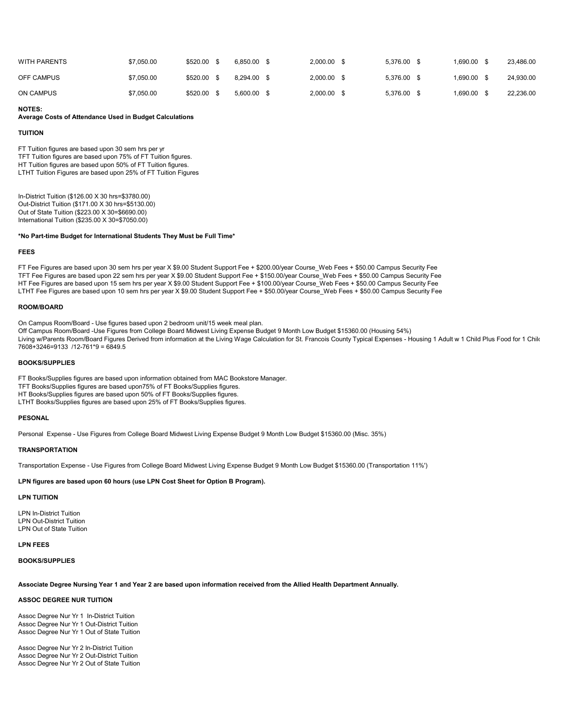| WITH PARENTS | \$7,050,00 | \$520.00 \$ | 6.850.00 | $2.000.00$ \$ | 5.376.00 \$ | 1.690.00 | 23.486.00 |
|--------------|------------|-------------|----------|---------------|-------------|----------|-----------|
| OFF CAMPUS   | \$7,050,00 | \$520.00 \$ | 8.294.00 | $2,000.00$ \$ | 5.376.00 \$ | 1.690.00 | 24.930.00 |
| ON CAMPUS    | \$7,050,00 | \$520.00 \$ | 5.600.00 | $2.000.00$ \$ | 5.376.00 \$ | 1.690.00 | 22.236.00 |

## NOTES:

#### Average Costs of Attendance Used in Budget Calculations

#### TUITION

FT Tuition figures are based upon 30 sem hrs per yr TFT Tuition figures are based upon 75% of FT Tuition figures. HT Tuition figures are based upon 50% of FT Tuition figures. LTHT Tuition Figures are based upon 25% of FT Tuition Figures

In-District Tuition (\$126.00 X 30 hrs=\$3780.00) Out-District Tuition (\$171.00 X 30 hrs=\$5130.00) Out of State Tuition (\$223.00 X 30=\$6690.00) International Tuition (\$235.00 X 30=\$7050.00)

### \*No Part-time Budget for International Students They Must be Full Time\*

#### FEES

FT Fee Figures are based upon 30 sem hrs per year X \$9.00 Student Support Fee + \$200.00/year Course\_Web Fees + \$50.00 Campus Security Fee TFT Fee Figures are based upon 22 sem hrs per year X \$9.00 Student Support Fee + \$150.00/year Course\_Web Fees + \$50.00 Campus Security Fee HT Fee Figures are based upon 15 sem hrs per year X \$9.00 Student Support Fee + \$100.00/year Course\_Web Fees + \$50.00 Campus Security Fee LTHT Fee Figures are based upon 10 sem hrs per year X \$9.00 Student Support Fee + \$50.00/year Course\_Web Fees + \$50.00 Campus Security Fee

#### ROOM/BOARD

On Campus Room/Board - Use figures based upon 2 bedroom unit/15 week meal plan.

Off Campus Room/Board -Use Figures from College Board Midwest Living Expense Budget 9 Month Low Budget \$15360.00 (Housing 54%)

Living w/Parents Room/Board Figures Derived from information at the Living Wage Calculation for St. Francois County Typical Expenses - Housing 1 Adult w 1 Child Plus Food for 1 Chilc 7608+3246=9133 /12-761\*9 = 6849.5

#### BOOKS/SUPPLIES

FT Books/Supplies figures are based upon information obtained from MAC Bookstore Manager. TFT Books/Supplies figures are based upon75% of FT Books/Supplies figures.

HT Books/Supplies figures are based upon 50% of FT Books/Supplies figures. LTHT Books/Supplies figures are based upon 25% of FT Books/Supplies figures.

## PESONAL

Personal Expense - Use Figures from College Board Midwest Living Expense Budget 9 Month Low Budget \$15360.00 (Misc. 35%)

#### TRANSPORTATION

Transportation Expense - Use Figures from College Board Midwest Living Expense Budget 9 Month Low Budget \$15360.00 (Transportation 11%')

### LPN figures are based upon 60 hours (use LPN Cost Sheet for Option B Program).

## LPN TUITION

LPN In-District Tuition LPN Out-District Tuition LPN Out of State Tuition

#### LPN FEES

# BOOKS/SUPPLIES

Associate Degree Nursing Year 1 and Year 2 are based upon information received from the Allied Health Department Annually.

### ASSOC DEGREE NUR TUITION

Assoc Degree Nur Yr 1 In-District Tuition Assoc Degree Nur Yr 1 Out-District Tuition Assoc Degree Nur Yr 1 Out of State Tuition

Assoc Degree Nur Yr 2 In-District Tuition Assoc Degree Nur Yr 2 Out-District Tuition Assoc Degree Nur Yr 2 Out of State Tuition